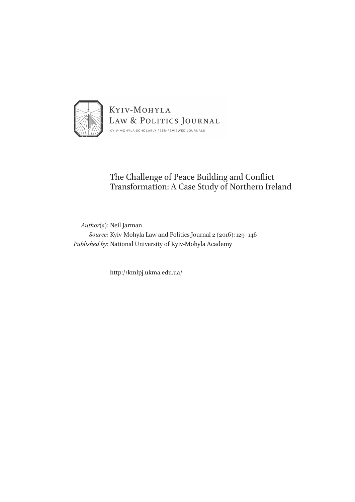

# The Challenge of Peace Building and Conflict Transformation: A Case Study of Northern Ireland

*Author(s):* Neil Jarman *Source:* Kyiv-Mohyla Law and Politics Journal 2 (2016): 129–146 *Published by:* National University of Kyiv-Mohyla Academy

http://kmlpj.ukma.edu.ua/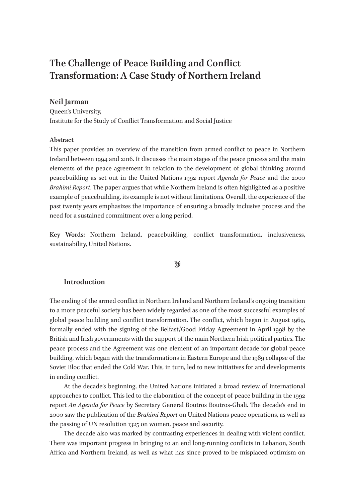# **The Challenge of Peace Building and Conflict Transformation: A Case Study of Northern Ireland**

# **Neil Jarman**

Queen's University, Institute for the Study of Conflict Transformation and Social Justice

## **Abstract**

This paper provides an overview of the transition from armed conflict to peace in Northern Ireland between 1994 and 2016. It discusses the main stages of the peace process and the main elements of the peace agreement in relation to the development of global thinking around peacebuilding as set out in the United Nations 1992 report *Agenda for Peace* and the 2000 *Brahimi Report*. The paper argues that while Northern Ireland is often highlighted as a positive example of peacebuilding, its example is not without limitations. Overall, the experience of the past twenty years emphasizes the importance of ensuring a broadly inclusive process and the need for a sustained commitment over a long period.

**Key Words:** Northern Ireland, peacebuilding, conflict transformation, inclusiveness, sustainability, United Nations.

#### $\mathcal{D}$

# **Introduction**

The ending of the armed conflict in Northern Ireland and Northern Ireland's ongoing transition to a more peaceful society has been widely regarded as one of the most successful examples of global peace building and conflict transformation. The conflict, which began in August 1969, formally ended with the signing of the Belfast/Good Friday Agreement in April 1998 by the British and Irish governments with the support of the main Northern Irish political parties. The peace process and the Agreement was one element of an important decade for global peace building, which began with the transformations in Eastern Europe and the 1989 collapse of the Soviet Bloc that ended the Cold War. This, in turn, led to new initiatives for and developments in ending conflict.

At the decade's beginning, the United Nations initiated a broad review of international approaches to conflict. This led to the elaboration of the concept of peace building in the 1992 report *An Agenda for Peace* by Secretary General Boutros Boutros-Ghali. The decade's end in 2000 saw the publication of the *Brahimi Report* on United Nations peace operations, as well as the passing of UN resolution 1325 on women, peace and security.

The decade also was marked by contrasting experiences in dealing with violent conflict. There was important progress in bringing to an end long-running conflicts in Lebanon, South Africa and Northern Ireland, as well as what has since proved to be misplaced optimism on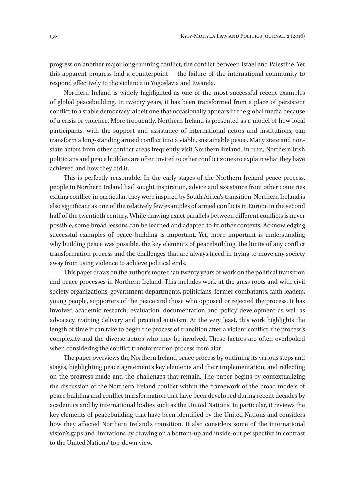progress on another major long-running conflict, the conflict between Israel and Palestine. Yet this apparent progress had a counterpoint — the failure of the international community to respond effectively to the violence in Yugoslavia and Rwanda.

Northern Ireland is widely highlighted as one of the most successful recent examples of global peacebuilding. In twenty years, it has been transformed from a place of persistent conflict to a stable democracy, albeit one that occasionally appears in the global media because of a crisis or violence. More frequently, Northern Ireland is presented as a model of how local participants, with the support and assistance of international actors and institutions, can transform a long-standing armed conflict into a viable, sustainable peace. Many state and nonstate actors from other conflict areas frequently visit Northern Ireland. In turn, Northern Irish politicians and peace builders are often invited to other conflict zones to explain what they have achieved and how they did it.

This is perfectly reasonable. In the early stages of the Northern Ireland peace process, people in Northern Ireland had sought inspiration, advice and assistance from other countries exiting conflict; in particular, they were inspired by South Africa's transition. Northern Ireland is also significant as one of the relatively few examples of armed conflicts in Europe in the second half of the twentieth century. While drawing exact parallels between different conflicts is never possible, some broad lessons can be learned and adapted to fit other contexts. Acknowledging successful examples of peace building is important. Yet, more important is understanding why building peace was possible, the key elements of peacebuilding, the limits of any conflict transformation process and the challenges that are always faced in trying to move any society away from using violence to achieve political ends.

This paper draws on the author's more than twenty years of work on the political transition and peace processes in Northern Ireland. This includes work at the grass roots and with civil society organizations, government departments, politicians, former combatants, faith leaders, young people, supporters of the peace and those who opposed or rejected the process. It has involved academic research, evaluation, documentation and policy development as well as advocacy, training delivery and practical activism. At the very least, this work highlights the length of time it can take to begin the process of transition after a violent conflict, the process's complexity and the diverse actors who may be involved. These factors are often overlooked when considering the conflict transformation process from afar.

The paper overviews the Northern Ireland peace process by outlining its various steps and stages, highlighting peace agreement's key elements and their implementation, and reflecting on the progress made and the challenges that remain. The paper begins by contextualizing the discussion of the Northern Ireland conflict within the framework of the broad models of peace building and conflict transformation that have been developed during recent decades by academics and by international bodies such as the United Nations. In particular, it reviews the key elements of peacebuilding that have been identified by the United Nations and considers how they affected Northern Ireland's transition. It also considers some of the international vision's gaps and limitations by drawing on a bottom-up and inside-out perspective in contrast to the United Nations' top-down view.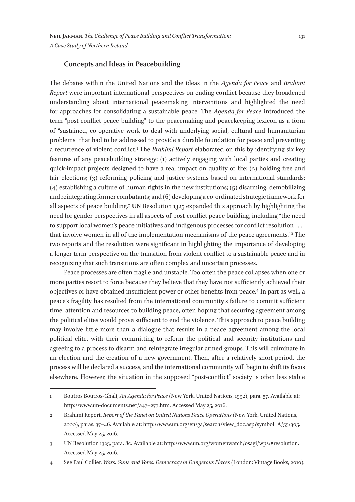#### **Concepts and Ideas in Peacebuilding**

The debates within the United Nations and the ideas in the *Agenda for Peace* and *Brahimi Report* were important international perspectives on ending conflict because they broadened understanding about international peacemaking interventions and highlighted the need for approaches for consolidating a sustainable peace. The *Agenda for Peace* introduced the term "post-conflict peace building" to the peacemaking and peacekeeping lexicon as a form of "sustained, co-operative work to deal with underlying social, cultural and humanitarian problems" that had to be addressed to provide a durable foundation for peace and preventing a recurrence of violent conflict.1 The *Brahimi Report* elaborated on this by identifying six key features of any peacebuilding strategy: (1) actively engaging with local parties and creating quick-impact projects designed to have a real impact on quality of life; (2) holding free and fair elections; (3) reforming policing and justice systems based on international standards;  $(4)$  establishing a culture of human rights in the new institutions;  $(5)$  disarming, demobilizing and reintegrating former combatants; and (6) developing a co-ordinated strategic framework for all aspects of peace building.2 UN Resolution 1325 expanded this approach by highlighting the need for gender perspectives in all aspects of post-conflict peace building, including "the need to support local women's peace initiatives and indigenous processes for conflict resolution […] that involve women in all of the implementation mechanisms of the peace agreements." 3 The two reports and the resolution were significant in highlighting the importance of developing a longer-term perspective on the transition from violent conflict to a sustainable peace and in recognizing that such transitions are often complex and uncertain processes.

Peace processes are often fragile and unstable. Too often the peace collapses when one or more parties resort to force because they believe that they have not sufficiently achieved their objectives or have obtained insufficient power or other benefits from peace.4 In part as well, a peace's fragility has resulted from the international community's failure to commit sufficient time, attention and resources to building peace, often hoping that securing agreement among the political elites would prove sufficient to end the violence. This approach to peace building may involve little more than a dialogue that results in a peace agreement among the local political elite, with their committing to reform the political and security institutions and agreeing to a process to disarm and reintegrate irregular armed groups. This will culminate in an election and the creation of a new government. Then, after a relatively short period, the process will be declared a success, and the international community will begin to shift its focus elsewhere. However, the situation in the supposed "post-conflict" society is often less stable

<sup>1</sup> Boutros Boutros-Ghali, *An Agenda for Peace* (New York, United Nations, 1992), para. 57. Available at: http://www.un-documents.net/a47–277.htm. Accessed May 25, 2016.

<sup>2</sup> Brahimi Report, *Report of the Panel on United Nations Peace Operations* (New York, United Nations, 2000), paras. 37–46. Available at: http://www.un.org/en/ga/search/view\_doc.asp?symbol=A/55/305. Accessed May 25, 2016.

<sup>3</sup> UN Resolution 1325, para. 8c. Available at: http://www.un.org/womenwatch/osagi/wps/#resolution. Accessed May 25, 2016.

<sup>4</sup> See Paul Collier, *Wars, Guns and Votes: Democracy in Dangerous Places* (London: Vintage Books, 2010).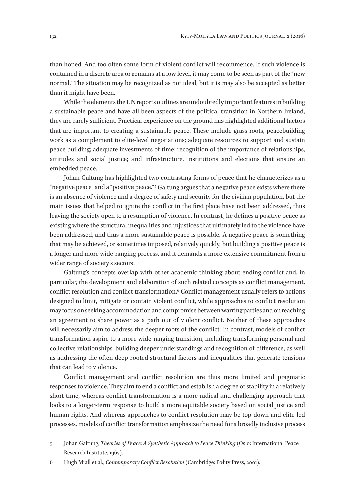than hoped. And too often some form of violent conflict will recommence. If such violence is contained in a discrete area or remains at a low level, it may come to be seen as part of the "new normal." The situation may be recognized as not ideal, but it is may also be accepted as better than it might have been.

While the elements the UN reports outlines are undoubtedly important features in building a sustainable peace and have all been aspects of the political transition in Northern Ireland, they are rarely sufficient. Practical experience on the ground has highlighted additional factors that are important to creating a sustainable peace. These include grass roots, peacebuilding work as a complement to elite-level negotiations; adequate resources to support and sustain peace building; adequate investments of time; recognition of the importance of relationships, attitudes and social justice; and infrastructure, institutions and elections that ensure an embedded peace.

Johan Galtung has highlighted two contrasting forms of peace that he characterizes as a "negative peace" and a "positive peace."<sup>5</sup> Galtung argues that a negative peace exists where there is an absence of violence and a degree of safety and security for the civilian population, but the main issues that helped to ignite the conflict in the first place have not been addressed, thus leaving the society open to a resumption of violence. In contrast, he defines a positive peace as existing where the structural inequalities and injustices that ultimately led to the violence have been addressed, and thus a more sustainable peace is possible. A negative peace is something that may be achieved, or sometimes imposed, relatively quickly, but building a positive peace is a longer and more wide-ranging process, and it demands a more extensive commitment from a wider range of society's sectors.

Galtung's concepts overlap with other academic thinking about ending conflict and, in particular, the development and elaboration of such related concepts as conflict management, conflict resolution and conflict transformation.6 Conflict management usually refers to actions designed to limit, mitigate or contain violent conflict, while approaches to conflict resolution may focus on seeking accommodation and compromise between warring parties and on reaching an agreement to share power as a path out of violent conflict. Neither of these approaches will necessarily aim to address the deeper roots of the conflict. In contrast, models of conflict transformation aspire to a more wide-ranging transition, including transforming personal and collective relationships, building deeper understandings and recognition of difference, as well as addressing the often deep-rooted structural factors and inequalities that generate tensions that can lead to violence.

Conflict management and conflict resolution are thus more limited and pragmatic responses to violence. They aim to end a conflict and establish a degree of stability in a relatively short time, whereas conflict transformation is a more radical and challenging approach that looks to a longer-term response to build a more equitable society based on social justice and human rights. And whereas approaches to conflict resolution may be top-down and elite-led processes, models of conflict transformation emphasize the need for a broadly inclusive process

<sup>5</sup> Johan Galtung, *Theories of Peace: A Synthetic Approach to Peace Thinking* (Oslo: International Peace Research Institute, 1967).

<sup>6</sup> Hugh Miall et al., *Contemporary Conflict Resolution* (Cambridge: Polity Press, 2001).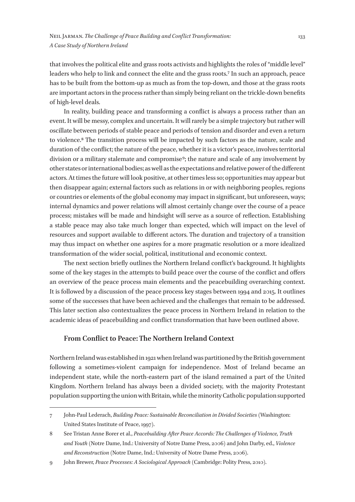that involves the political elite and grass roots activists and highlights the roles of "middle level" leaders who help to link and connect the elite and the grass roots.<sup>7</sup> In such an approach, peace has to be built from the bottom-up as much as from the top-down, and those at the grass roots are important actors in the process rather than simply being reliant on the trickle-down benefits of high-level deals.

In reality, building peace and transforming a conflict is always a process rather than an event. It will be messy, complex and uncertain. It will rarely be a simple trajectory but rather will oscillate between periods of stable peace and periods of tension and disorder and even a return to violence.8 The transition process will be impacted by such factors as the nature, scale and duration of the conflict; the nature of the peace, whether it is a victor's peace, involves territorial division or a military stalemate and compromise<sup>9</sup>; the nature and scale of any involvement by other states or international bodies; as well as the expectations and relative power of the different actors. At times the future will look positive, at other times less so; opportunities may appear but then disappear again; external factors such as relations in or with neighboring peoples, regions or countries or elements of the global economy may impact in significant, but unforeseen, ways; internal dynamics and power relations will almost certainly change over the course of a peace process; mistakes will be made and hindsight will serve as a source of reflection. Establishing a stable peace may also take much longer than expected, which will impact on the level of resources and support available to different actors. The duration and trajectory of a transition may thus impact on whether one aspires for a more pragmatic resolution or a more idealized transformation of the wider social, political, institutional and economic context.

The next section briefly outlines the Northern Ireland conflict's background. It highlights some of the key stages in the attempts to build peace over the course of the conflict and offers an overview of the peace process main elements and the peacebuilding overarching context. It is followed by a discussion of the peace process key stages between 1994 and 2015. It outlines some of the successes that have been achieved and the challenges that remain to be addressed. This later section also contextualizes the peace process in Northern Ireland in relation to the academic ideas of peacebuilding and conflict transformation that have been outlined above.

# **From Conflict to Peace: The Northern Ireland Context**

Northern Ireland was established in 1921 when Ireland was partitioned by the British government following a sometimes-violent campaign for independence. Most of Ireland became an independent state, while the north-eastern part of the island remained a part of the United Kingdom. Northern Ireland has always been a divided society, with the majority Protestant population supporting the union with Britain, while the minority Catholic population supported

<sup>7</sup> John-Paul Lederach, *Building Peace: Sustainable Reconciliation in Divided Societies* (Washington: United States Institute of Peace, 1997).

<sup>8</sup> See Tristan Anne Borer et al., *Peacebuilding After Peace Accords: The Challenges of Violence, Truth and Youth* (Notre Dame, Ind.: University of Notre Dame Press, 2006) and John Darby, ed., *Violence and Reconstruction* (Notre Dame, Ind.: University of Notre Dame Press, 2006).

<sup>9</sup> John Brewer, *Peace Processes: A Sociological Approach* (Cambridge: Polity Press, 2010).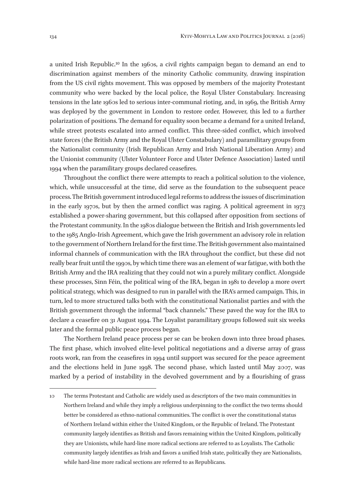a united Irish Republic.10 In the 1960s, a civil rights campaign began to demand an end to discrimination against members of the minority Catholic community, drawing inspiration from the US civil rights movement. This was opposed by members of the majority Protestant community who were backed by the local police, the Royal Ulster Constabulary. Increasing tensions in the late 1960s led to serious inter-communal rioting, and, in 1969, the British Army was deployed by the government in London to restore order. However, this led to a further polarization of positions. The demand for equality soon became a demand for a united Ireland, while street protests escalated into armed conflict. This three-sided conflict, which involved state forces (the British Army and the Royal Ulster Constabulary) and paramilitary groups from the Nationalist community (Irish Republican Army and Irish National Liberation Army) and the Unionist community (Ulster Volunteer Force and Ulster Defence Association) lasted until 1994 when the paramilitary groups declared ceasefires.

Throughout the conflict there were attempts to reach a political solution to the violence, which, while unsuccessful at the time, did serve as the foundation to the subsequent peace process. The British government introduced legal reforms to address the issues of discrimination in the early 1970s, but by then the armed conflict was raging. A political agreement in 1973 established a power-sharing government, but this collapsed after opposition from sections of the Protestant community. In the 1980s dialogue between the British and Irish governments led to the 1985 Anglo-Irish Agreement, which gave the Irish government an advisory role in relation to the government of Northern Ireland for the first time. The British government also maintained informal channels of communication with the IRA throughout the conflict, but these did not really bear fruit until the 1990s, by which time there was an element of war fatigue, with both the British Army and the IRA realizing that they could not win a purely military conflict. Alongside these processes, Sinn Féin, the political wing of the IRA, began in 1981 to develop a more overt political strategy, which was designed to run in parallel with the IRA's armed campaign. This, in turn, led to more structured talks both with the constitutional Nationalist parties and with the British government through the informal "back channels." These paved the way for the IRA to declare a ceasefire on 31 August 1994. The Loyalist paramilitary groups followed suit six weeks later and the formal public peace process began.

The Northern Ireland peace process per se can be broken down into three broad phases. The first phase, which involved elite-level political negotiations and a diverse array of grass roots work, ran from the ceasefires in 1994 until support was secured for the peace agreement and the elections held in June 1998. The second phase, which lasted until May 2007, was marked by a period of instability in the devolved government and by a flourishing of grass

<sup>10</sup> The terms Protestant and Catholic are widely used as descriptors of the two main communities in Northern Ireland and while they imply a religious underpinning to the conflict the two terms should better be considered as ethno-national communities. The conflict is over the constitutional status of Northern Ireland within either the United Kingdom, or the Republic of Ireland. The Protestant community largely identifies as British and favors remaining within the United Kingdom, politically they are Unionists, while hard-line more radical sections are referred to as Loyalists. The Catholic community largely identifies as Irish and favors a unified Irish state, politically they are Nationalists, while hard-line more radical sections are referred to as Republicans.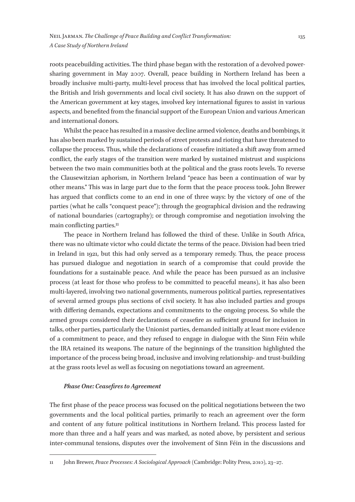roots peacebuilding activities. The third phase began with the restoration of a devolved powersharing government in May 2007. Overall, peace building in Northern Ireland has been a broadly inclusive multi-party, multi-level process that has involved the local political parties, the British and Irish governments and local civil society. It has also drawn on the support of the American government at key stages, involved key international figures to assist in various aspects, and benefited from the financial support of the European Union and various American and international donors.

Whilst the peace has resulted in a massive decline armed violence, deaths and bombings, it has also been marked by sustained periods of street protests and rioting that have threatened to collapse the process. Thus, while the declarations of ceasefire initiated a shift away from armed conflict, the early stages of the transition were marked by sustained mistrust and suspicions between the two main communities both at the political and the grass roots levels. To reverse the Clausewitzian aphorism, in Northern Ireland "peace has been a continuation of war by other means." This was in large part due to the form that the peace process took. John Brewer has argued that conflicts come to an end in one of three ways: by the victory of one of the parties (what he calls "conquest peace"); through the geographical division and the redrawing of national boundaries (cartography); or through compromise and negotiation involving the main conflicting parties.11

The peace in Northern Ireland has followed the third of these. Unlike in South Africa, there was no ultimate victor who could dictate the terms of the peace. Division had been tried in Ireland in 1921, but this had only served as a temporary remedy. Thus, the peace process has pursued dialogue and negotiation in search of a compromise that could provide the foundations for a sustainable peace. And while the peace has been pursued as an inclusive process (at least for those who profess to be committed to peaceful means), it has also been multi-layered, involving two national governments, numerous political parties, representatives of several armed groups plus sections of civil society. It has also included parties and groups with differing demands, expectations and commitments to the ongoing process. So while the armed groups considered their declarations of ceasefire as sufficient ground for inclusion in talks, other parties, particularly the Unionist parties, demanded initially at least more evidence of a commitment to peace, and they refused to engage in dialogue with the Sinn Féin while the IRA retained its weapons. The nature of the beginnings of the transition highlighted the importance of the process being broad, inclusive and involving relationship- and trust-building at the grass roots level as well as focusing on negotiations toward an agreement.

#### *Phase One: Ceasefires to Agreement*

The first phase of the peace process was focused on the political negotiations between the two governments and the local political parties, primarily to reach an agreement over the form and content of any future political institutions in Northern Ireland. This process lasted for more than three and a half years and was marked, as noted above, by persistent and serious inter-communal tensions, disputes over the involvement of Sinn Féin in the discussions and

<sup>11</sup> John Brewer, *Peace Processes: A Sociological Approach* (Cambridge: Polity Press, 2010), 23–27.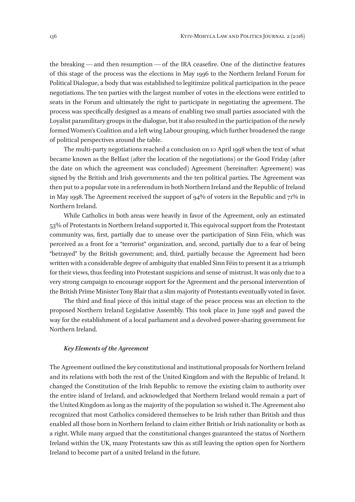the breaking — and then resumption — of the IRA ceasefire. One of the distinctive features of this stage of the process was the elections in May 1996 to the Northern Ireland Forum for Political Dialogue, a body that was established to legitimize political participation in the peace negotiations. The ten parties with the largest number of votes in the elections were entitled to seats in the Forum and ultimately the right to participate in negotiating the agreement. The process was specifically designed as a means of enabling two small parties associated with the Loyalist paramilitary groups in the dialogue, but it also resulted in the participation of the newly formed Women's Coalition and a left wing Labour grouping, which further broadened the range of political perspectives around the table.

The multi-party negotiations reached a conclusion on 10 April 1998 when the text of what became known as the Belfast (after the location of the negotiations) or the Good Friday (after the date on which the agreement was concluded) Agreement (hereinafter: Agreement) was signed by the British and Irish governments and the ten political parties. The Agreement was then put to a popular vote in a referendum in both Northern Ireland and the Republic of Ireland in May 1998. The Agreement received the support of 94% of voters in the Republic and 71% in Northern Ireland.

While Catholics in both areas were heavily in favor of the Agreement, only an estimated 53% of Protestants in Northern Ireland supported it. This equivocal support from the Protestant community was, first, partially due to unease over the participation of Sinn Féin, which was perceived as a front for a "terrorist" organization, and, second, partially due to a fear of being "betrayed" by the British government; and, third, partially because the Agreement had been written with a considerable degree of ambiguity that enabled Sinn Féin to present it as a triumph for their views, thus feeding into Protestant suspicions and sense of mistrust. It was only due to a very strong campaign to encourage support for the Agreement and the personal intervention of the British Prime Minister Tony Blair that a slim majority of Protestants eventually voted in favor.

The third and final piece of this initial stage of the peace process was an election to the proposed Northern Ireland Legislative Assembly. This took place in June 1998 and paved the way for the establishment of a local parliament and a devolved power-sharing government for Northern Ireland.

#### *Key Elements of the Agreement*

The Agreement outlined the key constitutional and institutional proposals for Northern Ireland and its relations with both the rest of the United Kingdom and with the Republic of Ireland. It changed the Constitution of the Irish Republic to remove the existing claim to authority over the entire island of Ireland, and acknowledged that Northern Ireland would remain a part of the United Kingdom as long as the majority of the population so wished it. The Agreement also recognized that most Catholics considered themselves to be Irish rather than British and thus enabled all those born in Northern Ireland to claim either British or Irish nationality or both as a right. While many argued that the constitutional changes guaranteed the status of Northern Ireland within the UK, many Protestants saw this as still leaving the option open for Northern Ireland to become part of a united Ireland in the future.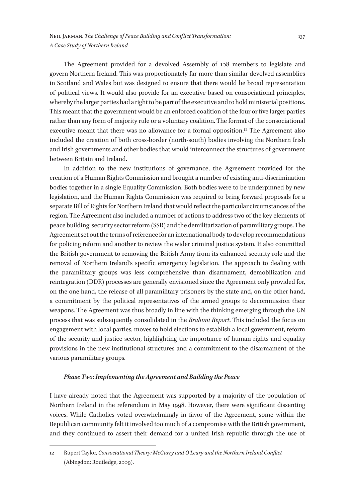The Agreement provided for a devolved Assembly of 108 members to legislate and govern Northern Ireland. This was proportionately far more than similar devolved assemblies in Scotland and Wales but was designed to ensure that there would be broad representation of political views. It would also provide for an executive based on consociational principles, whereby the larger parties had a right to be part of the executive and to hold ministerial positions. This meant that the government would be an enforced coalition of the four or five larger parties rather than any form of majority rule or a voluntary coalition. The format of the consociational executive meant that there was no allowance for a formal opposition.12 The Agreement also included the creation of both cross-border (north-south) bodies involving the Northern Irish and Irish governments and other bodies that would interconnect the structures of government between Britain and Ireland.

In addition to the new institutions of governance, the Agreement provided for the creation of a Human Rights Commission and brought a number of existing anti-discrimination bodies together in a single Equality Commission. Both bodies were to be underpinned by new legislation, and the Human Rights Commission was required to bring forward proposals for a separate Bill of Rights for Northern Ireland that would reflect the particular circumstances of the region. The Agreement also included a number of actions to address two of the key elements of peace building: security sector reform (SSR) and the demilitarization of paramilitary groups. The Agreement set out the terms of reference for an international body to develop recommendations for policing reform and another to review the wider criminal justice system. It also committed the British government to removing the British Army from its enhanced security role and the removal of Northern Ireland's specific emergency legislation. The approach to dealing with the paramilitary groups was less comprehensive than disarmament, demobilization and reintegration (DDR) processes are generally envisioned since the Agreement only provided for, on the one hand, the release of all paramilitary prisoners by the state and, on the other hand, a commitment by the political representatives of the armed groups to decommission their weapons. The Agreement was thus broadly in line with the thinking emerging through the UN process that was subsequently consolidated in the *Brahimi Report*. This included the focus on engagement with local parties, moves to hold elections to establish a local government, reform of the security and justice sector, highlighting the importance of human rights and equality provisions in the new institutional structures and a commitment to the disarmament of the various paramilitary groups.

#### *Phase Two: Implementing the Agreement and Building the Peace*

I have already noted that the Agreement was supported by a majority of the population of Northern Ireland in the referendum in May 1998. However, there were significant dissenting voices. While Catholics voted overwhelmingly in favor of the Agreement, some within the Republican community felt it involved too much of a compromise with the British government, and they continued to assert their demand for a united Irish republic through the use of

<sup>12</sup> Rupert Taylor, *Consociational Theory: McGarry and O'Leary and the Northern Ireland Conflict* (Abingdon: Routledge, 2009).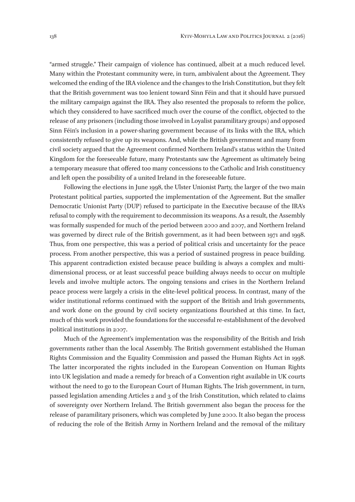"armed struggle." Their campaign of violence has continued, albeit at a much reduced level. Many within the Protestant community were, in turn, ambivalent about the Agreement. They welcomed the ending of the IRA violence and the changes to the Irish Constitution, but they felt that the British government was too lenient toward Sinn Féin and that it should have pursued the military campaign against the IRA. They also resented the proposals to reform the police, which they considered to have sacrificed much over the course of the conflict, objected to the release of any prisoners (including those involved in Loyalist paramilitary groups) and opposed Sinn Féin's inclusion in a power-sharing government because of its links with the IRA, which consistently refused to give up its weapons. And, while the British government and many from civil society argued that the Agreement confirmed Northern Ireland's status within the United Kingdom for the foreseeable future, many Protestants saw the Agreement as ultimately being a temporary measure that offered too many concessions to the Catholic and Irish constituency and left open the possibility of a united Ireland in the foreseeable future.

Following the elections in June 1998, the Ulster Unionist Party, the larger of the two main Protestant political parties, supported the implementation of the Agreement. But the smaller Democratic Unionist Party (DUP) refused to participate in the Executive because of the IRA's refusal to comply with the requirement to decommission its weapons. As a result, the Assembly was formally suspended for much of the period between 2000 and 2007, and Northern Ireland was governed by direct rule of the British government, as it had been between 1971 and 1998. Thus, from one perspective, this was a period of political crisis and uncertainty for the peace process. From another perspective, this was a period of sustained progress in peace building. This apparent contradiction existed because peace building is always a complex and multidimensional process, or at least successful peace building always needs to occur on multiple levels and involve multiple actors. The ongoing tensions and crises in the Northern Ireland peace process were largely a crisis in the elite-level political process. In contrast, many of the wider institutional reforms continued with the support of the British and Irish governments, and work done on the ground by civil society organizations flourished at this time. In fact, much of this work provided the foundations for the successful re-establishment of the devolved political institutions in 2007.

Much of the Agreement's implementation was the responsibility of the British and Irish governments rather than the local Assembly. The British government established the Human Rights Commission and the Equality Commission and passed the Human Rights Act in 1998. The latter incorporated the rights included in the European Convention on Human Rights into UK legislation and made a remedy for breach of a Convention right available in UK courts without the need to go to the European Court of Human Rights. The Irish government, in turn, passed legislation amending Articles 2 and 3 of the Irish Constitution, which related to claims of sovereignty over Northern Ireland. The British government also began the process for the release of paramilitary prisoners, which was completed by June 2000. It also began the process of reducing the role of the British Army in Northern Ireland and the removal of the military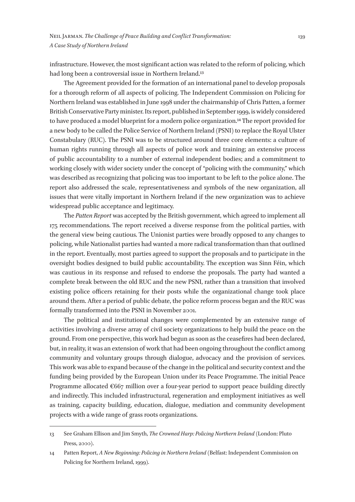infrastructure. However, the most significant action was related to the reform of policing, which had long been a controversial issue in Northern Ireland.<sup>13</sup>

The Agreement provided for the formation of an international panel to develop proposals for a thorough reform of all aspects of policing. The Independent Commission on Policing for Northern Ireland was established in June 1998 under the chairmanship of Chris Patten, a former British Conservative Party minister. Its report, published in September 1999, is widely considered to have produced a model blueprint for a modern police organization.14 The report provided for a new body to be called the Police Service of Northern Ireland (PSNI) to replace the Royal Ulster Constabulary (RUC). The PSNI was to be structured around three core elements: a culture of human rights running through all aspects of police work and training; an extensive process of public accountability to a number of external independent bodies; and a commitment to working closely with wider society under the concept of "policing with the community," which was described as recognizing that policing was too important to be left to the police alone. The report also addressed the scale, representativeness and symbols of the new organization, all issues that were vitally important in Northern Ireland if the new organization was to achieve widespread public acceptance and legitimacy.

The *Patten Report* was accepted by the British government, which agreed to implement all 175 recommendations. The report received a diverse response from the political parties, with the general view being cautious. The Unionist parties were broadly opposed to any changes to policing, while Nationalist parties had wanted a more radical transformation than that outlined in the report. Eventually, most parties agreed to support the proposals and to participate in the oversight bodies designed to build public accountability. The exception was Sinn Féin, which was cautious in its response and refused to endorse the proposals. The party had wanted a complete break between the old RUC and the new PSNI, rather than a transition that involved existing police officers retaining for their posts while the organizational change took place around them. After a period of public debate, the police reform process began and the RUC was formally transformed into the PSNI in November 2001.

The political and institutional changes were complemented by an extensive range of activities involving a diverse array of civil society organizations to help build the peace on the ground. From one perspective, this work had begun as soon as the ceasefires had been declared, but, in reality, it was an extension of work that had been ongoing throughout the conflict among community and voluntary groups through dialogue, advocacy and the provision of services. This work was able to expand because of the change in the political and security context and the funding being provided by the European Union under its Peace Programme. The initial Peace Programme allocated  $\epsilon$ 667 million over a four-year period to support peace building directly and indirectly. This included infrastructural, regeneration and employment initiatives as well as training, capacity building, education, dialogue, mediation and community development projects with a wide range of grass roots organizations.

<sup>13</sup> See Graham Ellison and Jim Smyth, *The Crowned Harp: Policing Northern Ireland* (London: Pluto Press, 2000).

<sup>14</sup> Patten Report, *A New Beginning: Policing in Northern Ireland* (Belfast: Independent Commission on Policing for Northern Ireland, 1999).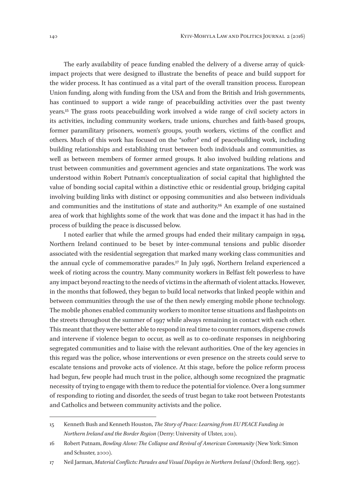The early availability of peace funding enabled the delivery of a diverse array of quickimpact projects that were designed to illustrate the benefits of peace and build support for the wider process. It has continued as a vital part of the overall transition process. European Union funding, along with funding from the USA and from the British and Irish governments, has continued to support a wide range of peacebuilding activities over the past twenty years.15 The grass roots peacebuilding work involved a wide range of civil society actors in its activities, including community workers, trade unions, churches and faith-based groups, former paramilitary prisoners, women's groups, youth workers, victims of the conflict and others. Much of this work has focused on the "softer" end of peacebuilding work, including building relationships and establishing trust between both individuals and communities, as well as between members of former armed groups. It also involved building relations and trust between communities and government agencies and state organizations. The work was understood within Robert Putnam's conceptualization of social capital that highlighted the value of bonding social capital within a distinctive ethic or residential group, bridging capital involving building links with distinct or opposing communities and also between individuals and communities and the institutions of state and authority.16 An example of one sustained area of work that highlights some of the work that was done and the impact it has had in the process of building the peace is discussed below.

I noted earlier that while the armed groups had ended their military campaign in 1994, Northern Ireland continued to be beset by inter-communal tensions and public disorder associated with the residential segregation that marked many working class communities and the annual cycle of commemorative parades.17 In July 1996, Northern Ireland experienced a week of rioting across the country. Many community workers in Belfast felt powerless to have any impact beyond reacting to the needs of victims in the aftermath of violent attacks. However, in the months that followed, they began to build local networks that linked people within and between communities through the use of the then newly emerging mobile phone technology. The mobile phones enabled community workers to monitor tense situations and flashpoints on the streets throughout the summer of 1997 while always remaining in contact with each other. This meant that they were better able to respond in real time to counter rumors, disperse crowds and intervene if violence began to occur, as well as to co-ordinate responses in neighboring segregated communities and to liaise with the relevant authorities. One of the key agencies in this regard was the police, whose interventions or even presence on the streets could serve to escalate tensions and provoke acts of violence. At this stage, before the police reform process had begun, few people had much trust in the police, although some recognized the pragmatic necessity of trying to engage with them to reduce the potential for violence. Over a long summer of responding to rioting and disorder, the seeds of trust began to take root between Protestants and Catholics and between community activists and the police.

<sup>15</sup> Kenneth Bush and Kenneth Houston, *The Story of Peace: Learning from EU PEACE Funding in Northern Ireland and the Border Region* (Derry: University of Ulster, 2011).

<sup>16</sup> Robert Putnam, *Bowling Alone: The Collapse and Revival of American Community* (New York: Simon and Schuster, 2000).

<sup>17</sup> Neil Jarman, *Material Conflicts: Parades and Visual Displays in Northern Ireland* (Oxford: Berg, 1997).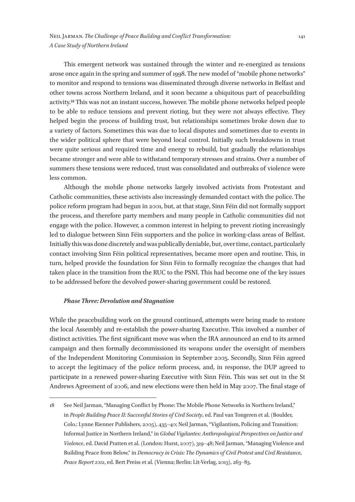This emergent network was sustained through the winter and re-energized as tensions arose once again in the spring and summer of 1998. The new model of "mobile phone networks" to monitor and respond to tensions was disseminated through diverse networks in Belfast and other towns across Northern Ireland, and it soon became a ubiquitous part of peacebuilding activity.18 This was not an instant success, however. The mobile phone networks helped people to be able to reduce tensions and prevent rioting, but they were not always effective. They helped begin the process of building trust, but relationships sometimes broke down due to a variety of factors. Sometimes this was due to local disputes and sometimes due to events in the wider political sphere that were beyond local control. Initially such breakdowns in trust were quite serious and required time and energy to rebuild, but gradually the relationships became stronger and were able to withstand temporary stresses and strains. Over a number of summers these tensions were reduced, trust was consolidated and outbreaks of violence were less common.

Although the mobile phone networks largely involved activists from Protestant and Catholic communities, these activists also increasingly demanded contact with the police. The police reform program had begun in 2001, but, at that stage, Sinn Féin did not formally support the process, and therefore party members and many people in Catholic communities did not engage with the police. However, a common interest in helping to prevent rioting increasingly led to dialogue between Sinn Féin supporters and the police in working-class areas of Belfast. Initially this was done discretely and was publically deniable, but, over time, contact, particularly contact involving Sinn Féin political representatives, became more open and routine. This, in turn, helped provide the foundation for Sinn Féin to formally recognize the changes that had taken place in the transition from the RUC to the PSNI. This had become one of the key issues to be addressed before the devolved power-sharing government could be restored.

#### *Phase Three: Devolution and Stagnation*

While the peacebuilding work on the ground continued, attempts were being made to restore the local Assembly and re-establish the power-sharing Executive. This involved a number of distinct activities. The first significant move was when the IRA announced an end to its armed campaign and then formally decommissioned its weapons under the oversight of members of the Independent Monitoring Commission in September 2005. Secondly, Sinn Féin agreed to accept the legitimacy of the police reform process, and, in response, the DUP agreed to participate in a renewed power-sharing Executive with Sinn Féin. This was set out in the St Andrews Agreement of 2006, and new elections were then held in May 2007. The final stage of

<sup>18</sup> See Neil Jarman, "Managing Conflict by Phone: The Mobile Phone Networks in Northern Ireland," in *People Building Peace II: Successful Stories of Civil Society*, ed. Paul van Tongeren et al. (Boulder, Colo.: Lynne Rienner Publishers, 2005), 435–40; Neil Jarman, "Vigilantism, Policing and Transition: Informal Justice in Northern Ireland," in *Global Vigilantes: Anthropological Perspectives on Justice and Violence*, ed. David Pratten et al. (London: Hurst, 2007), 319–48; Neil Jarman, "Managing Violence and Building Peace from Below," in *Democracy in Crisis: The Dynamics of Civil Protest and Civil Resistance, Peace Report 2012*, ed. Bert Preiss et al. (Vienna; Berlin: Lit-Verlag, 2013), 263–83.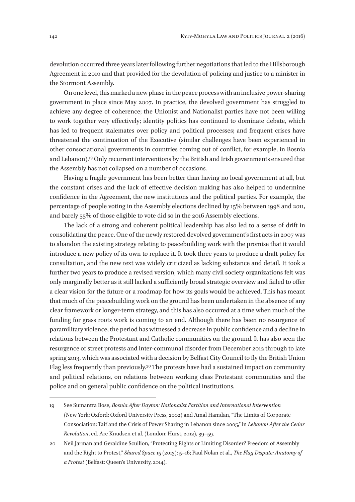devolution occurred three years later following further negotiations that led to the Hillsborough Agreement in 2010 and that provided for the devolution of policing and justice to a minister in the Stormont Assembly.

On one level, this marked a new phase in the peace process with an inclusive power-sharing government in place since May 2007. In practice, the devolved government has struggled to achieve any degree of coherence; the Unionist and Nationalist parties have not been willing to work together very effectively; identity politics has continued to dominate debate, which has led to frequent stalemates over policy and political processes; and frequent crises have threatened the continuation of the Executive (similar challenges have been experienced in other consociational governments in countries coming out of conflict, for example, in Bosnia and Lebanon).19 Only recurrent interventions by the British and Irish governments ensured that the Assembly has not collapsed on a number of occasions.

Having a fragile government has been better than having no local government at all, but the constant crises and the lack of effective decision making has also helped to undermine confidence in the Agreement, the new institutions and the political parties. For example, the percentage of people voting in the Assembly elections declined by 15% between 1998 and 2011, and barely 55% of those eligible to vote did so in the 2016 Assembly elections.

The lack of a strong and coherent political leadership has also led to a sense of drift in consolidating the peace. One of the newly restored devolved government's first acts in 2007 was to abandon the existing strategy relating to peacebuilding work with the promise that it would introduce a new policy of its own to replace it. It took three years to produce a draft policy for consultation, and the new text was widely criticized as lacking substance and detail. It took a further two years to produce a revised version, which many civil society organizations felt was only marginally better as it still lacked a sufficiently broad strategic overview and failed to offer a clear vision for the future or a roadmap for how its goals would be achieved. This has meant that much of the peacebuilding work on the ground has been undertaken in the absence of any clear framework or longer-term strategy, and this has also occurred at a time when much of the funding for grass roots work is coming to an end. Although there has been no resurgence of paramilitary violence, the period has witnessed a decrease in public confidence and a decline in relations between the Protestant and Catholic communities on the ground. It has also seen the resurgence of street protests and inter-communal disorder from December 2012 through to late spring 2013, which was associated with a decision by Belfast City Council to fly the British Union Flag less frequently than previously.20 The protests have had a sustained impact on community and political relations, on relations between working class Protestant communities and the police and on general public confidence on the political institutions.

<sup>19</sup> See Sumantra Bose, *Bosnia After Dayton: Nationalist Partition and International Intervention* (New York; Oxford: Oxford University Press, 2002) and Amal Hamdan, "The Limits of Corporate Consociation: Taif and the Crisis of Power Sharing in Lebanon since 2005," in *Lebanon After the Cedar Revolution*, ed. Are Knudsen et al. (London: Hurst, 2012), 39–59.

<sup>20</sup> Neil Jarman and Geraldine Scullion, "Protecting Rights or Limiting Disorder? Freedom of Assembly and the Right to Protest," *Shared Space* 15 (2013): 5–16; Paul Nolan et al., *The Flag Dispute: Anatomy of a Protest* (Belfast: Queen's University, 2014).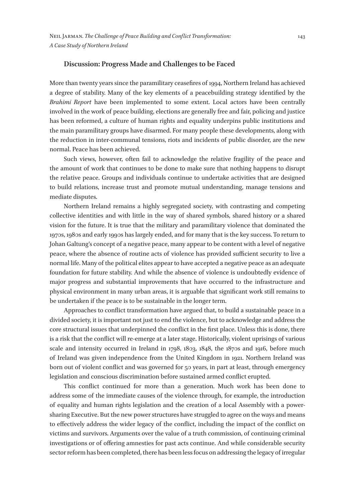#### **Discussion: Progress Made and Challenges to be Faced**

More than twenty years since the paramilitary ceasefires of 1994, Northern Ireland has achieved a degree of stability. Many of the key elements of a peacebuilding strategy identified by the *Brahimi Report* have been implemented to some extent. Local actors have been centrally involved in the work of peace building, elections are generally free and fair, policing and justice has been reformed, a culture of human rights and equality underpins public institutions and the main paramilitary groups have disarmed. For many people these developments, along with the reduction in inter-communal tensions, riots and incidents of public disorder, are the new normal. Peace has been achieved.

Such views, however, often fail to acknowledge the relative fragility of the peace and the amount of work that continues to be done to make sure that nothing happens to disrupt the relative peace. Groups and individuals continue to undertake activities that are designed to build relations, increase trust and promote mutual understanding, manage tensions and mediate disputes.

Northern Ireland remains a highly segregated society, with contrasting and competing collective identities and with little in the way of shared symbols, shared history or a shared vision for the future. It is true that the military and paramilitary violence that dominated the 1970s, 1980s and early 1990s has largely ended, and for many that is the key success. To return to Johan Galtung's concept of a negative peace, many appear to be content with a level of negative peace, where the absence of routine acts of violence has provided sufficient security to live a normal life. Many of the political elites appear to have accepted a negative peace as an adequate foundation for future stability. And while the absence of violence is undoubtedly evidence of major progress and substantial improvements that have occurred to the infrastructure and physical environment in many urban areas, it is arguable that significant work still remains to be undertaken if the peace is to be sustainable in the longer term.

Approaches to conflict transformation have argued that, to build a sustainable peace in a divided society, it is important not just to end the violence, but to acknowledge and address the core structural issues that underpinned the conflict in the first place. Unless this is done, there is a risk that the conflict will re-emerge at a later stage. Historically, violent uprisings of various scale and intensity occurred in Ireland in 1798, 1803, 1848, the 1870s and 1916, before much of Ireland was given independence from the United Kingdom in 1921. Northern Ireland was born out of violent conflict and was governed for 50 years, in part at least, through emergency legislation and conscious discrimination before sustained armed conflict erupted.

This conflict continued for more than a generation. Much work has been done to address some of the immediate causes of the violence through, for example, the introduction of equality and human rights legislation and the creation of a local Assembly with a powersharing Executive. But the new power structures have struggled to agree on the ways and means to effectively address the wider legacy of the conflict, including the impact of the conflict on victims and survivors. Arguments over the value of a truth commission, of continuing criminal investigations or of offering amnesties for past acts continue. And while considerable security sector reform has been completed, there has been less focus on addressing the legacy of irregular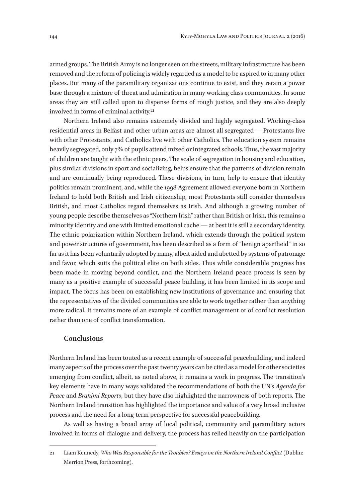armed groups. The British Army is no longer seen on the streets, military infrastructure has been removed and the reform of policing is widely regarded as a model to be aspired to in many other places. But many of the paramilitary organizations continue to exist, and they retain a power base through a mixture of threat and admiration in many working class communities. In some areas they are still called upon to dispense forms of rough justice, and they are also deeply involved in forms of criminal activity.21

Northern Ireland also remains extremely divided and highly segregated. Working-class residential areas in Belfast and other urban areas are almost all segregated — Protestants live with other Protestants, and Catholics live with other Catholics. The education system remains heavily segregated, only 7% of pupils attend mixed or integrated schools. Thus, the vast majority of children are taught with the ethnic peers. The scale of segregation in housing and education, plus similar divisions in sport and socializing, helps ensure that the patterns of division remain and are continually being reproduced. These divisions, in turn, help to ensure that identity politics remain prominent, and, while the 1998 Agreement allowed everyone born in Northern Ireland to hold both British and Irish citizenship, most Protestants still consider themselves British, and most Catholics regard themselves as Irish. And although a growing number of young people describe themselves as "Northern Irish" rather than British or Irish, this remains a minority identity and one with limited emotional cache — at best it is still a secondary identity. The ethnic polarization within Northern Ireland, which extends through the political system and power structures of government, has been described as a form of "benign apartheid" in so far as it has been voluntarily adopted by many, albeit aided and abetted by systems of patronage and favor, which suits the political elite on both sides. Thus while considerable progress has been made in moving beyond conflict, and the Northern Ireland peace process is seen by many as a positive example of successful peace building, it has been limited in its scope and impact. The focus has been on establishing new institutions of governance and ensuring that the representatives of the divided communities are able to work together rather than anything more radical. It remains more of an example of conflict management or of conflict resolution rather than one of conflict transformation.

# **Conclusions**

Northern Ireland has been touted as a recent example of successful peacebuilding, and indeed many aspects of the process over the past twenty years can be cited as a model for other societies emerging from conflict, albeit, as noted above, it remains a work in progress. The transition's key elements have in many ways validated the recommendations of both the UN's *Agenda for Peace* and *Brahimi Reports*, but they have also highlighted the narrowness of both reports. The Northern Ireland transition has highlighted the importance and value of a very broad inclusive process and the need for a long-term perspective for successful peacebuilding.

As well as having a broad array of local political, community and paramilitary actors involved in forms of dialogue and delivery, the process has relied heavily on the participation

<sup>21</sup> Liam Kennedy, *Who Was Responsible for the Troubles? Essays on the Northern Ireland Conflict* (Dublin: Merrion Press, forthcoming).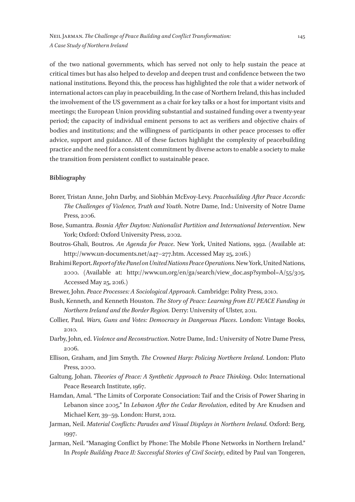of the two national governments, which has served not only to help sustain the peace at critical times but has also helped to develop and deepen trust and confidence between the two national institutions. Beyond this, the process has highlighted the role that a wider network of international actors can play in peacebuilding. In the case of Northern Ireland, this has included the involvement of the US government as a chair for key talks or a host for important visits and meetings; the European Union providing substantial and sustained funding over a twenty-year period; the capacity of individual eminent persons to act as verifiers and objective chairs of bodies and institutions; and the willingness of participants in other peace processes to offer advice, support and guidance. All of these factors highlight the complexity of peacebuilding practice and the need for a consistent commitment by diverse actors to enable a society to make the transition from persistent conflict to sustainable peace.

## **Bibliography**

- Borer, Tristan Anne, John Darby, and Siobhán McEvoy-Levy. *Peacebuilding After Peace Accords: The Challenges of Violence, Truth and Youth*. Notre Dame, Ind.: University of Notre Dame Press, 2006.
- Bose, Sumantra. *Bosnia After Dayton: Nationalist Partition and International Intervention*. New York; Oxford: Oxford University Press, 2002.
- Boutros-Ghali, Boutros. *An Agenda for Peace*. New York, United Nations, 1992. (Available at: http://www.un-documents.net/a47–277.htm. Accessed May 25, 2016.)
- Brahimi Report. *Report of the Panel on United Nations Peace Operations.* New York, United Nations, 2000. (Available at: http://www.un.org/en/ga/search/view\_doc.asp?symbol=A/55/305. Accessed May 25, 2016.)

Brewer, John. *Peace Processes: A Sociological Approach*. Cambridge: Polity Press, 2010.

- Bush, Kenneth, and Kenneth Houston. *The Story of Peace: Learning from EU PEACE Funding in Northern Ireland and the Border Region.* Derry: University of Ulster, 2011.
- Collier, Paul. *Wars, Guns and Votes: Democracy in Dangerous Places*. London: Vintage Books, 2010.
- Darby, John, ed. *Violence and Reconstruction*. Notre Dame, Ind.: University of Notre Dame Press, 2006.
- Ellison, Graham, and Jim Smyth. *The Crowned Harp: Policing Northern Ireland*. London: Pluto Press, 2000.
- Galtung, Johan. *Theories of Peace: A Synthetic Approach to Peace Thinking*. Oslo: International Peace Research Institute, 1967.
- Hamdan, Amal. "The Limits of Corporate Consociation: Taif and the Crisis of Power Sharing in Lebanon since 2005." In *Lebanon After the Cedar Revolution*, edited by Are Knudsen and Michael Kerr, 39–59. London: Hurst, 2012.
- Jarman, Neil. *Material Conflicts: Parades and Visual Displays in Northern Ireland*. Oxford: Berg, 1997.
- Jarman, Neil. "Managing Conflict by Phone: The Mobile Phone Networks in Northern Ireland." In *People Building Peace II: Successful Stories of Civil Society*, edited by Paul van Tongeren,